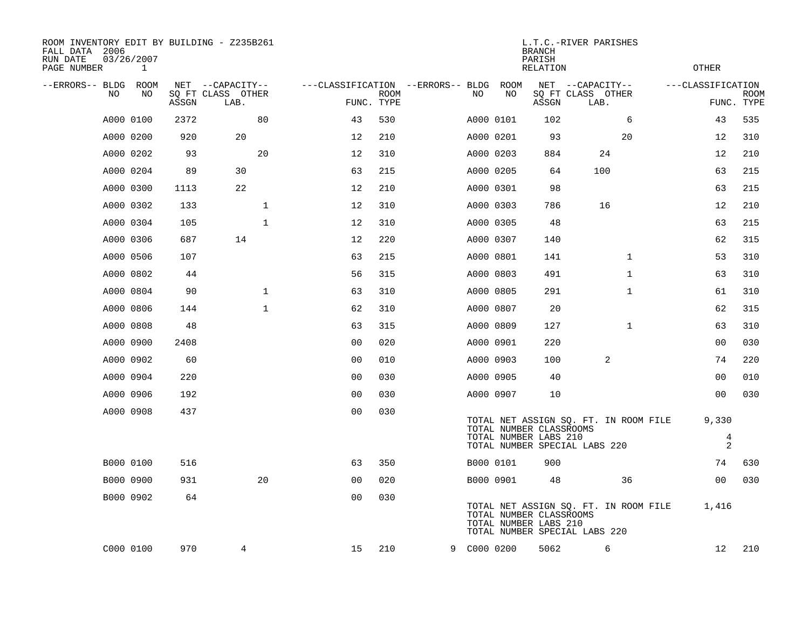| ROOM INVENTORY EDIT BY BUILDING - Z235B261<br>FALL DATA 2006<br>RUN DATE<br>PAGE NUMBER | 03/26/2007<br>$\mathbf{1}$ |            |                                               |                                                      | <b>OTHER</b> |                        |                                                  |            |                                                                        |                                  |                           |
|-----------------------------------------------------------------------------------------|----------------------------|------------|-----------------------------------------------|------------------------------------------------------|--------------|------------------------|--------------------------------------------------|------------|------------------------------------------------------------------------|----------------------------------|---------------------------|
| --ERRORS-- BLDG ROOM<br>NO                                                              | NO                         | ASSGN      | NET --CAPACITY--<br>SQ FT CLASS OTHER<br>LAB. | ---CLASSIFICATION --ERRORS-- BLDG ROOM<br>FUNC. TYPE | <b>ROOM</b>  | NO                     | NO                                               | ASSGN      | NET --CAPACITY--<br>SQ FT CLASS OTHER<br>LAB.                          | ---CLASSIFICATION                | <b>ROOM</b><br>FUNC. TYPE |
|                                                                                         |                            |            |                                               |                                                      |              |                        |                                                  |            |                                                                        |                                  |                           |
|                                                                                         | A000 0100                  | 2372       | 80<br>20                                      | 43                                                   | 530          |                        | A000 0101                                        | 102<br>93  | 6                                                                      | 43                               | 535                       |
|                                                                                         | A000 0200                  | 920        | 20                                            | 12                                                   | 210          | A000 0201              |                                                  |            | 20<br>24                                                               | 12                               | 310<br>210                |
|                                                                                         | A000 0202                  | 93<br>89   | 30                                            | 12<br>63                                             | 310<br>215   | A000 0203              |                                                  | 884<br>64  | 100                                                                    | 12<br>63                         | 215                       |
|                                                                                         | A000 0204                  |            | 22                                            | 12                                                   | 210          | A000 0205              |                                                  | 98         |                                                                        | 63                               | 215                       |
|                                                                                         | A000 0300                  | 1113       | $\mathbf{1}$                                  |                                                      |              | A000 0301              |                                                  |            |                                                                        |                                  | 210                       |
|                                                                                         | A000 0302                  | 133<br>105 | $\mathbf{1}$                                  | 12<br>12                                             | 310<br>310   | A000 0303              |                                                  | 786<br>48  | 16                                                                     | 12<br>63                         | 215                       |
|                                                                                         | A000 0304                  | 687        | 14                                            | 12                                                   | 220          | A000 0305              |                                                  |            |                                                                        | 62                               |                           |
|                                                                                         | A000 0306<br>A000 0506     | 107        |                                               | 63                                                   | 215          |                        | A000 0307                                        | 140        | $\mathbf{1}$                                                           | 53                               | 315<br>310                |
|                                                                                         | A000 0802                  | 44         |                                               | 56                                                   | 315          | A000 0801              |                                                  | 141<br>491 | $\mathbf{1}$                                                           | 63                               | 310                       |
|                                                                                         | A000 0804                  | 90         | $\mathbf 1$                                   | 63                                                   | 310          | A000 0803<br>A000 0805 |                                                  | 291        | $\mathbf{1}$                                                           | 61                               | 310                       |
|                                                                                         | A000 0806                  | 144        | $\mathbf{1}$                                  | 62                                                   | 310          | A000 0807              |                                                  | 20         |                                                                        | 62                               | 315                       |
|                                                                                         |                            |            |                                               |                                                      |              |                        |                                                  |            |                                                                        |                                  |                           |
|                                                                                         | A000 0808<br>A000 0900     | 48<br>2408 |                                               | 63<br>0 <sub>0</sub>                                 | 315<br>020   | A000 0809              |                                                  | 127<br>220 | $\mathbf{1}$                                                           | 63<br>00                         | 310<br>030                |
|                                                                                         | A000 0902                  | 60         |                                               | 0 <sub>0</sub>                                       | 010          | A000 0901<br>A000 0903 |                                                  | 100        | 2                                                                      | 74                               | 220                       |
|                                                                                         |                            |            |                                               |                                                      |              |                        |                                                  | 40         |                                                                        |                                  | 010                       |
|                                                                                         | A000 0904<br>A000 0906     | 220<br>192 |                                               | 0 <sub>0</sub><br>0 <sub>0</sub>                     | 030<br>030   | A000 0905              |                                                  | 10         |                                                                        | 0 <sub>0</sub><br>0 <sub>0</sub> | 030                       |
|                                                                                         |                            |            |                                               |                                                      |              |                        | A000 0907                                        |            |                                                                        |                                  |                           |
|                                                                                         | A000 0908                  | 437        |                                               | 0 <sub>0</sub>                                       | 030          |                        | TOTAL NUMBER CLASSROOMS                          |            | TOTAL NET ASSIGN SQ. FT. IN ROOM FILE                                  | 9,330                            |                           |
|                                                                                         |                            |            |                                               |                                                      |              |                        | TOTAL NUMBER LABS 210                            |            | TOTAL NUMBER SPECIAL LABS 220                                          | $\overline{4}$<br>$\overline{a}$ |                           |
|                                                                                         | B000 0100                  | 516        |                                               | 63                                                   | 350          | B000 0101              |                                                  | 900        |                                                                        | 74                               | 630                       |
|                                                                                         | B000 0900                  | 931        | 20                                            | 00                                                   | 020          |                        | B000 0901                                        | 48         | 36                                                                     | 0 <sub>0</sub>                   | 030                       |
|                                                                                         | B000 0902                  | 64         |                                               | 0 <sub>0</sub>                                       | 030          |                        | TOTAL NUMBER CLASSROOMS<br>TOTAL NUMBER LABS 210 |            | TOTAL NET ASSIGN SQ. FT. IN ROOM FILE<br>TOTAL NUMBER SPECIAL LABS 220 | 1,416                            |                           |
|                                                                                         | C000 0100                  | 970        | 4                                             | 15                                                   | 210          | 9 C000 0200            |                                                  | 5062       | 6                                                                      | 12                               | 210                       |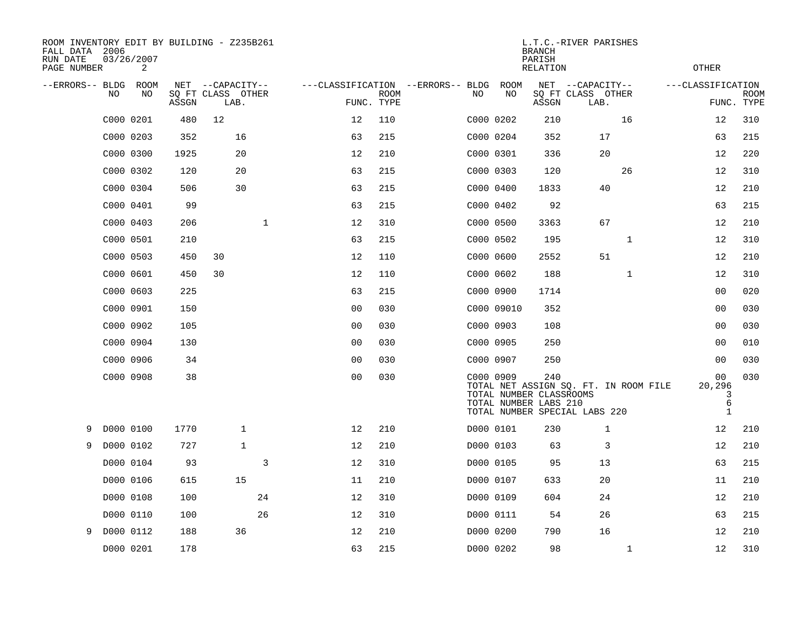| ROOM INVENTORY EDIT BY BUILDING - Z235B261<br>FALL DATA 2006<br>RUN DATE<br>PAGE NUMBER |           | 03/26/2007<br>2 |       |                           |                | L.T.C.-RIVER PARISHES<br><b>BRANCH</b><br>PARISH<br><b>OTHER</b><br>RELATION |                           |  |           |            |                                                         |                                                                        |                                        |                           |
|-----------------------------------------------------------------------------------------|-----------|-----------------|-------|---------------------------|----------------|------------------------------------------------------------------------------|---------------------------|--|-----------|------------|---------------------------------------------------------|------------------------------------------------------------------------|----------------------------------------|---------------------------|
| --ERRORS-- BLDG                                                                         |           | ROOM            |       | NET --CAPACITY--          |                | ---CLASSIFICATION --ERRORS-- BLDG                                            |                           |  |           | ROOM       |                                                         | NET --CAPACITY--                                                       | ---CLASSIFICATION                      |                           |
|                                                                                         | NO.       | NO              | ASSGN | SQ FT CLASS OTHER<br>LAB. |                |                                                                              | <b>ROOM</b><br>FUNC. TYPE |  | NO        | NO         | ASSGN                                                   | SQ FT CLASS OTHER<br>LAB.                                              |                                        | <b>ROOM</b><br>FUNC. TYPE |
|                                                                                         | C000 0201 |                 | 480   | 12                        |                | 12                                                                           | 110                       |  |           | C000 0202  | 210                                                     | 16                                                                     | 12                                     | 310                       |
|                                                                                         | C000 0203 |                 | 352   | 16                        |                | 63                                                                           | 215                       |  |           | C000 0204  | 352                                                     | 17                                                                     | 63                                     | 215                       |
|                                                                                         | C000 0300 |                 | 1925  | 20                        |                | 12                                                                           | 210                       |  |           | C000 0301  | 336                                                     | 20                                                                     | 12                                     | 220                       |
|                                                                                         | C000 0302 |                 | 120   | 20                        |                | 63                                                                           | 215                       |  |           | C000 0303  | 120                                                     | 26                                                                     | 12                                     | 310                       |
|                                                                                         | C000 0304 |                 | 506   | 30                        |                | 63                                                                           | 215                       |  |           | C000 0400  | 1833                                                    | 40                                                                     | 12                                     | 210                       |
|                                                                                         | C000 0401 |                 | 99    |                           |                | 63                                                                           | 215                       |  |           | C000 0402  | 92                                                      |                                                                        | 63                                     | 215                       |
|                                                                                         | C000 0403 |                 | 206   |                           | $\mathbf{1}$   | 12                                                                           | 310                       |  |           | C000 0500  | 3363                                                    | 67                                                                     | 12                                     | 210                       |
|                                                                                         | C000 0501 |                 | 210   |                           |                | 63                                                                           | 215                       |  |           | C000 0502  | 195                                                     | $\mathbf{1}$                                                           | 12                                     | 310                       |
|                                                                                         | C000 0503 |                 | 450   | 30                        |                | 12                                                                           | 110                       |  |           | C000 0600  | 2552                                                    | 51                                                                     | 12                                     | 210                       |
|                                                                                         | C000 0601 |                 | 450   | 30                        |                | 12                                                                           | 110                       |  |           | C000 0602  | 188                                                     | $\mathbf{1}$                                                           | 12                                     | 310                       |
|                                                                                         | C000 0603 |                 | 225   |                           |                | 63                                                                           | 215                       |  |           | C000 0900  | 1714                                                    |                                                                        | 00                                     | 020                       |
|                                                                                         | C000 0901 |                 | 150   |                           |                | 0 <sub>0</sub>                                                               | 030                       |  |           | C000 09010 | 352                                                     |                                                                        | 00                                     | 030                       |
|                                                                                         | C000 0902 |                 | 105   |                           |                | 0 <sub>0</sub>                                                               | 030                       |  |           | C000 0903  | 108                                                     |                                                                        | 00                                     | 030                       |
|                                                                                         | C000 0904 |                 | 130   |                           |                | 00                                                                           | 030                       |  |           | C000 0905  | 250                                                     |                                                                        | 0 <sub>0</sub>                         | 010                       |
|                                                                                         | C000 0906 |                 | 34    |                           |                | 0 <sub>0</sub>                                                               | 030                       |  |           | C000 0907  | 250                                                     |                                                                        | 00                                     | 030                       |
|                                                                                         | C000 0908 |                 | 38    |                           |                | 0 <sub>0</sub>                                                               | 030                       |  |           | C000 0909  | 240<br>TOTAL NUMBER CLASSROOMS<br>TOTAL NUMBER LABS 210 | TOTAL NET ASSIGN SQ. FT. IN ROOM FILE<br>TOTAL NUMBER SPECIAL LABS 220 | 00<br>20,296<br>3<br>6<br>$\mathbf{1}$ | 030                       |
| 9                                                                                       | D000 0100 |                 | 1770  | 1                         |                | 12                                                                           | 210                       |  |           | D000 0101  | 230                                                     | $\mathbf 1$                                                            | 12                                     | 210                       |
| 9                                                                                       | D000 0102 |                 | 727   | $\mathbf{1}$              |                | 12                                                                           | 210                       |  |           | D000 0103  | 63                                                      | 3                                                                      | 12                                     | 210                       |
|                                                                                         | D000 0104 |                 | 93    |                           | $\overline{3}$ | 12                                                                           | 310                       |  |           | D000 0105  | 95                                                      | 13                                                                     | 63                                     | 215                       |
|                                                                                         | D000 0106 |                 | 615   | 15                        |                | 11                                                                           | 210                       |  |           | D000 0107  | 633                                                     | 20                                                                     | 11                                     | 210                       |
|                                                                                         | D000 0108 |                 | 100   |                           | 24             | 12                                                                           | 310                       |  |           | D000 0109  | 604                                                     | 24                                                                     | 12                                     | 210                       |
|                                                                                         | D000 0110 |                 | 100   |                           | 26             | 12                                                                           | 310                       |  |           | D000 0111  | 54                                                      | 26                                                                     | 63                                     | 215                       |
| 9                                                                                       | D000 0112 |                 | 188   | 36                        |                | 12                                                                           | 210                       |  |           | D000 0200  | 790                                                     | 16                                                                     | 12                                     | 210                       |
|                                                                                         | D000 0201 |                 | 178   |                           |                | 63                                                                           | 215                       |  | D000 0202 |            | 98                                                      | $\mathbf{1}$                                                           | 12                                     | 310                       |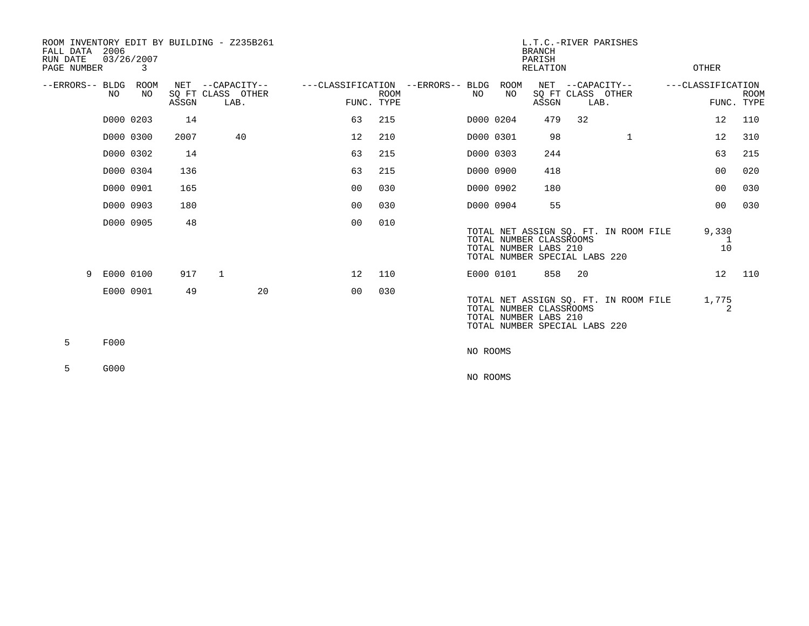| ROOM INVENTORY EDIT BY BUILDING - Z235B261<br>FALL DATA<br>RUN DATE<br>PAGE NUMBER | 2006      | 03/26/2007<br>3 |       |              |                                               | L.T.C.-RIVER PARISHES<br><b>BRANCH</b><br>PARISH<br><b>RELATION</b> |                           |  |           |            |                                                                                   |                                               |                                       | OTHER |                                 |             |
|------------------------------------------------------------------------------------|-----------|-----------------|-------|--------------|-----------------------------------------------|---------------------------------------------------------------------|---------------------------|--|-----------|------------|-----------------------------------------------------------------------------------|-----------------------------------------------|---------------------------------------|-------|---------------------------------|-------------|
| --ERRORS-- BLDG ROOM                                                               | NO        | NO.             | ASSGN |              | NET --CAPACITY--<br>SQ FT CLASS OTHER<br>LAB. | ---CLASSIFICATION --ERRORS-- BLDG                                   | <b>ROOM</b><br>FUNC. TYPE |  | NO        | ROOM<br>NO | ASSGN                                                                             | NET --CAPACITY--<br>SQ FT CLASS OTHER<br>LAB. |                                       |       | ---CLASSIFICATION<br>FUNC. TYPE | <b>ROOM</b> |
|                                                                                    | D000 0203 |                 | 14    |              |                                               | 63                                                                  | 215                       |  | D000 0204 |            | 479                                                                               | 32                                            |                                       |       | 12                              | 110         |
|                                                                                    | D000 0300 |                 | 2007  |              | 40                                            | 12                                                                  | 210                       |  | D000 0301 |            | 98                                                                                |                                               | $\mathbf{1}$                          |       | 12                              | 310         |
|                                                                                    | D000 0302 |                 | 14    |              |                                               | 63                                                                  | 215                       |  | D000 0303 |            | 244                                                                               |                                               |                                       |       | 63                              | 215         |
|                                                                                    | D000 0304 |                 | 136   |              |                                               | 63                                                                  | 215                       |  | D000 0900 |            | 418                                                                               |                                               |                                       |       | 0 <sub>0</sub>                  | 020         |
|                                                                                    | D000 0901 |                 | 165   |              |                                               | 0 <sub>0</sub>                                                      | 030                       |  | D000 0902 |            | 180                                                                               |                                               |                                       |       | 0 <sub>0</sub>                  | 030         |
|                                                                                    | D000 0903 |                 | 180   |              |                                               | 0 <sub>0</sub>                                                      | 030                       |  | D000 0904 |            | 55                                                                                |                                               |                                       |       | 0 <sub>0</sub>                  | 030         |
|                                                                                    | D000 0905 |                 | 48    |              |                                               | 0 <sub>0</sub>                                                      | 010                       |  |           |            | TOTAL NUMBER CLASSROOMS<br>TOTAL NUMBER LABS 210<br>TOTAL NUMBER SPECIAL LABS 220 |                                               | TOTAL NET ASSIGN SO. FT. IN ROOM FILE |       | 9,330<br>10                     |             |
| 9                                                                                  | E000 0100 |                 | 917   | $\mathbf{1}$ |                                               | 12                                                                  | 110                       |  |           | E000 0101  | 858                                                                               | 20                                            |                                       |       | 12                              | 110         |
|                                                                                    | E000 0901 |                 | 49    |              | 20                                            | 0 <sub>0</sub>                                                      | 030                       |  |           |            | TOTAL NUMBER CLASSROOMS<br>TOTAL NUMBER LABS 210<br>TOTAL NUMBER SPECIAL LABS 220 |                                               | TOTAL NET ASSIGN SO. FT. IN ROOM FILE |       | 1,775<br>2                      |             |
| 5                                                                                  | F000      |                 |       |              |                                               |                                                                     |                           |  | NO ROOMS  |            |                                                                                   |                                               |                                       |       |                                 |             |
| 5                                                                                  | G000      |                 |       |              |                                               |                                                                     |                           |  | NO ROOMS  |            |                                                                                   |                                               |                                       |       |                                 |             |